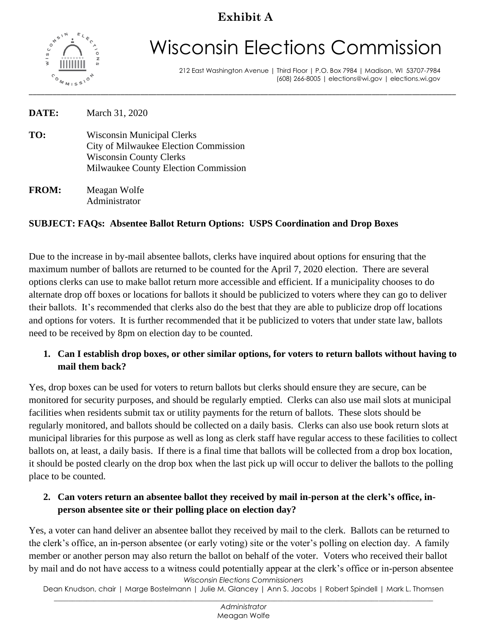# **Exhibit A**



# Wisconsin Elections Commission

212 East Washington Avenue | Third Floor | P.O. Box 7984 | Madison, WI 53707-7984 (608) 266-8005 | elections@wi.gov | elections.wi.gov

| DATE: | March 31, 2020                        |
|-------|---------------------------------------|
| TO:   | <b>Wisconsin Municipal Clerks</b>     |
|       | City of Milwaukee Election Commission |
|       | <b>Wisconsin County Clerks</b>        |
|       | Milwaukee County Election Commission  |

**FROM:** Meagan Wolfe Administrator

#### **SUBJECT: FAQs: Absentee Ballot Return Options: USPS Coordination and Drop Boxes**

Due to the increase in by-mail absentee ballots, clerks have inquired about options for ensuring that the maximum number of ballots are returned to be counted for the April 7, 2020 election. There are several options clerks can use to make ballot return more accessible and efficient. If a municipality chooses to do alternate drop off boxes or locations for ballots it should be publicized to voters where they can go to deliver their ballots. It's recommended that clerks also do the best that they are able to publicize drop off locations and options for voters. It is further recommended that it be publicized to voters that under state law, ballots need to be received by 8pm on election day to be counted.

#### **1. Can I establish drop boxes, or other similar options, for voters to return ballots without having to mail them back?**

Yes, drop boxes can be used for voters to return ballots but clerks should ensure they are secure, can be monitored for security purposes, and should be regularly emptied. Clerks can also use mail slots at municipal facilities when residents submit tax or utility payments for the return of ballots. These slots should be regularly monitored, and ballots should be collected on a daily basis. Clerks can also use book return slots at municipal libraries for this purpose as well as long as clerk staff have regular access to these facilities to collect ballots on, at least, a daily basis. If there is a final time that ballots will be collected from a drop box location, it should be posted clearly on the drop box when the last pick up will occur to deliver the ballots to the polling place to be counted.

#### **2. Can voters return an absentee ballot they received by mail in-person at the clerk's office, inperson absentee site or their polling place on election day?**

*Wisconsin Elections Commissioners* Yes, a voter can hand deliver an absentee ballot they received by mail to the clerk. Ballots can be returned to the clerk's office, an in-person absentee (or early voting) site or the voter's polling on election day. A family member or another person may also return the ballot on behalf of the voter. Voters who received their ballot by mail and do not have access to a witness could potentially appear at the clerk's office or in-person absentee

Dean Knudson, chair | Marge Bostelmann | Julie M. Glancey | Ann S. Jacobs | Robert Spindell | Mark L. Thomsen \_\_\_\_\_\_\_\_\_\_\_\_\_\_\_\_\_\_\_\_\_\_\_\_\_\_\_\_\_\_\_\_\_\_\_\_\_\_\_\_\_\_\_\_\_\_\_\_\_\_\_\_\_\_\_\_\_\_\_\_\_\_\_\_\_\_\_\_\_\_\_\_\_\_\_\_\_\_\_\_\_\_\_\_\_\_\_\_\_\_\_\_\_\_\_\_\_\_\_\_\_\_\_\_\_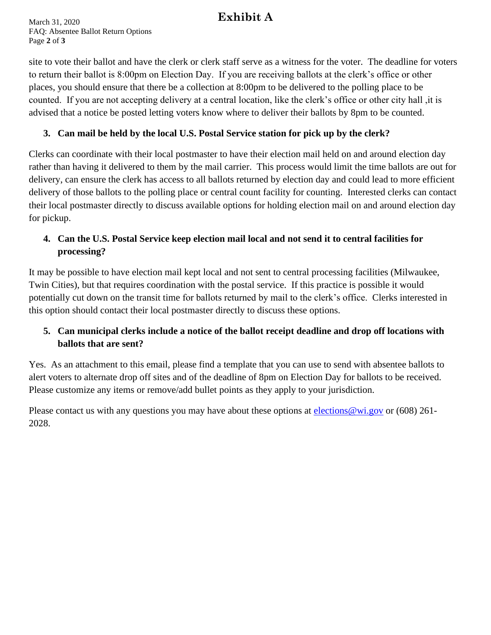## **Exhibit A**

March 31, 2020 FAQ: Absentee Ballot Return Options Page **2** of **3**

site to vote their ballot and have the clerk or clerk staff serve as a witness for the voter. The deadline for voters to return their ballot is 8:00pm on Election Day. If you are receiving ballots at the clerk's office or other places, you should ensure that there be a collection at 8:00pm to be delivered to the polling place to be counted. If you are not accepting delivery at a central location, like the clerk's office or other city hall ,it is advised that a notice be posted letting voters know where to deliver their ballots by 8pm to be counted.

#### **3. Can mail be held by the local U.S. Postal Service station for pick up by the clerk?**

Clerks can coordinate with their local postmaster to have their election mail held on and around election day rather than having it delivered to them by the mail carrier. This process would limit the time ballots are out for delivery, can ensure the clerk has access to all ballots returned by election day and could lead to more efficient delivery of those ballots to the polling place or central count facility for counting. Interested clerks can contact their local postmaster directly to discuss available options for holding election mail on and around election day for pickup.

#### **4. Can the U.S. Postal Service keep election mail local and not send it to central facilities for processing?**

It may be possible to have election mail kept local and not sent to central processing facilities (Milwaukee, Twin Cities), but that requires coordination with the postal service. If this practice is possible it would potentially cut down on the transit time for ballots returned by mail to the clerk's office. Clerks interested in this option should contact their local postmaster directly to discuss these options.

#### **5. Can municipal clerks include a notice of the ballot receipt deadline and drop off locations with ballots that are sent?**

Yes. As an attachment to this email, please find a template that you can use to send with absentee ballots to alert voters to alternate drop off sites and of the deadline of 8pm on Election Day for ballots to be received. Please customize any items or remove/add bullet points as they apply to your jurisdiction.

Please contact us with any questions you may have about these options at elections @wi.gov or (608) 261-2028.